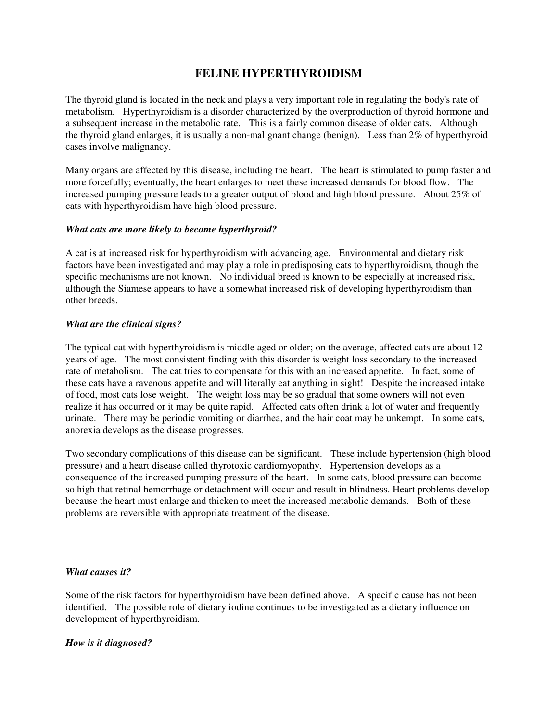# **FELINE HYPERTHYROIDISM**

The thyroid gland is located in the neck and plays a very important role in regulating the body's rate of metabolism. Hyperthyroidism is a disorder characterized by the overproduction of thyroid hormone and a subsequent increase in the metabolic rate. This is a fairly common disease of older cats. Although the thyroid gland enlarges, it is usually a non-malignant change (benign). Less than 2% of hyperthyroid cases involve malignancy.

Many organs are affected by this disease, including the heart. The heart is stimulated to pump faster and more forcefully; eventually, the heart enlarges to meet these increased demands for blood flow. The increased pumping pressure leads to a greater output of blood and high blood pressure. About 25% of cats with hyperthyroidism have high blood pressure.

## *What cats are more likely to become hyperthyroid?*

A cat is at increased risk for hyperthyroidism with advancing age. Environmental and dietary risk factors have been investigated and may play a role in predisposing cats to hyperthyroidism, though the specific mechanisms are not known. No individual breed is known to be especially at increased risk, although the Siamese appears to have a somewhat increased risk of developing hyperthyroidism than other breeds.

#### *What are the clinical signs?*

The typical cat with hyperthyroidism is middle aged or older; on the average, affected cats are about 12 years of age. The most consistent finding with this disorder is weight loss secondary to the increased rate of metabolism. The cat tries to compensate for this with an increased appetite. In fact, some of these cats have a ravenous appetite and will literally eat anything in sight! Despite the increased intake of food, most cats lose weight. The weight loss may be so gradual that some owners will not even realize it has occurred or it may be quite rapid. Affected cats often drink a lot of water and frequently urinate. There may be periodic vomiting or diarrhea, and the hair coat may be unkempt. In some cats, anorexia develops as the disease progresses.

Two secondary complications of this disease can be significant. These include hypertension (high blood pressure) and a heart disease called thyrotoxic cardiomyopathy. Hypertension develops as a consequence of the increased pumping pressure of the heart. In some cats, blood pressure can become so high that retinal hemorrhage or detachment will occur and result in blindness. Heart problems develop because the heart must enlarge and thicken to meet the increased metabolic demands. Both of these problems are reversible with appropriate treatment of the disease.

#### *What causes it?*

Some of the risk factors for hyperthyroidism have been defined above. A specific cause has not been identified. The possible role of dietary iodine continues to be investigated as a dietary influence on development of hyperthyroidism.

#### *How is it diagnosed?*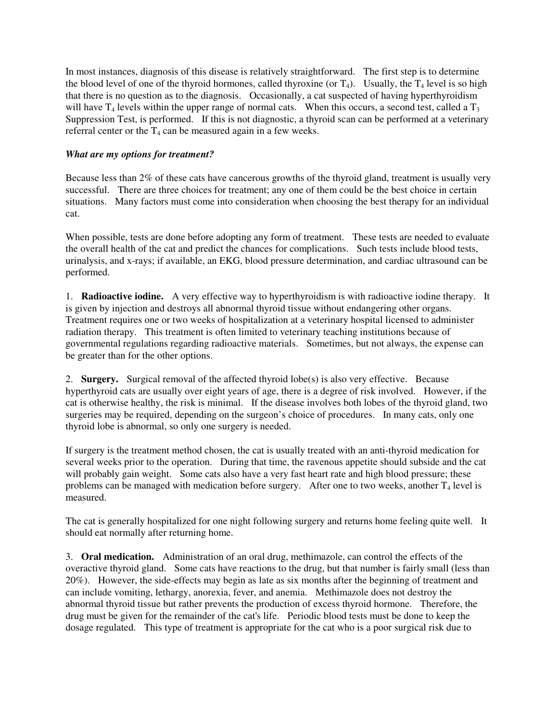In most instances, diagnosis of this disease is relatively straightforward. The first step is to determine the blood level of one of the thyroid hormones, called thyroxine (or  $T_4$ ). Usually, the  $T_4$  level is so high that there is no question as to the diagnosis. Occasionally, a cat suspected of having hyperthyroidism will have  $T_4$  levels within the upper range of normal cats. When this occurs, a second test, called a  $T_3$ Suppression Test, is performed. If this is not diagnostic, a thyroid scan can be performed at a veterinary referral center or the  $T_4$  can be measured again in a few weeks.

### *What are my options for treatment?*

Because less than 2% of these cats have cancerous growths of the thyroid gland, treatment is usually very successful. There are three choices for treatment; any one of them could be the best choice in certain situations. Many factors must come into consideration when choosing the best therapy for an individual cat.

When possible, tests are done before adopting any form of treatment. These tests are needed to evaluate the overall health of the cat and predict the chances for complications. Such tests include blood tests, urinalysis, and x-rays; if available, an EKG, blood pressure determination, and cardiac ultrasound can be performed.

1. **Radioactive iodine.** A very effective way to hyperthyroidism is with radioactive iodine therapy. It is given by injection and destroys all abnormal thyroid tissue without endangering other organs. Treatment requires one or two weeks of hospitalization at a veterinary hospital licensed to administer radiation therapy. This treatment is often limited to veterinary teaching institutions because of governmental regulations regarding radioactive materials. Sometimes, but not always, the expense can be greater than for the other options.

2. **Surgery.** Surgical removal of the affected thyroid lobe(s) is also very effective. Because hyperthyroid cats are usually over eight years of age, there is a degree of risk involved. However, if the cat is otherwise healthy, the risk is minimal. If the disease involves both lobes of the thyroid gland, two surgeries may be required, depending on the surgeon's choice of procedures. In many cats, only one thyroid lobe is abnormal, so only one surgery is needed.

If surgery is the treatment method chosen, the cat is usually treated with an anti-thyroid medication for several weeks prior to the operation. During that time, the ravenous appetite should subside and the cat will probably gain weight. Some cats also have a very fast heart rate and high blood pressure; these problems can be managed with medication before surgery. After one to two weeks, another  $T_4$  level is measured.

The cat is generally hospitalized for one night following surgery and returns home feeling quite well. It should eat normally after returning home.

3. **Oral medication.** Administration of an oral drug, methimazole, can control the effects of the overactive thyroid gland. Some cats have reactions to the drug, but that number is fairly small (less than 20%). However, the side-effects may begin as late as six months after the beginning of treatment and can include vomiting, lethargy, anorexia, fever, and anemia. Methimazole does not destroy the abnormal thyroid tissue but rather prevents the production of excess thyroid hormone. Therefore, the drug must be given for the remainder of the cat's life. Periodic blood tests must be done to keep the dosage regulated. This type of treatment is appropriate for the cat who is a poor surgical risk due to